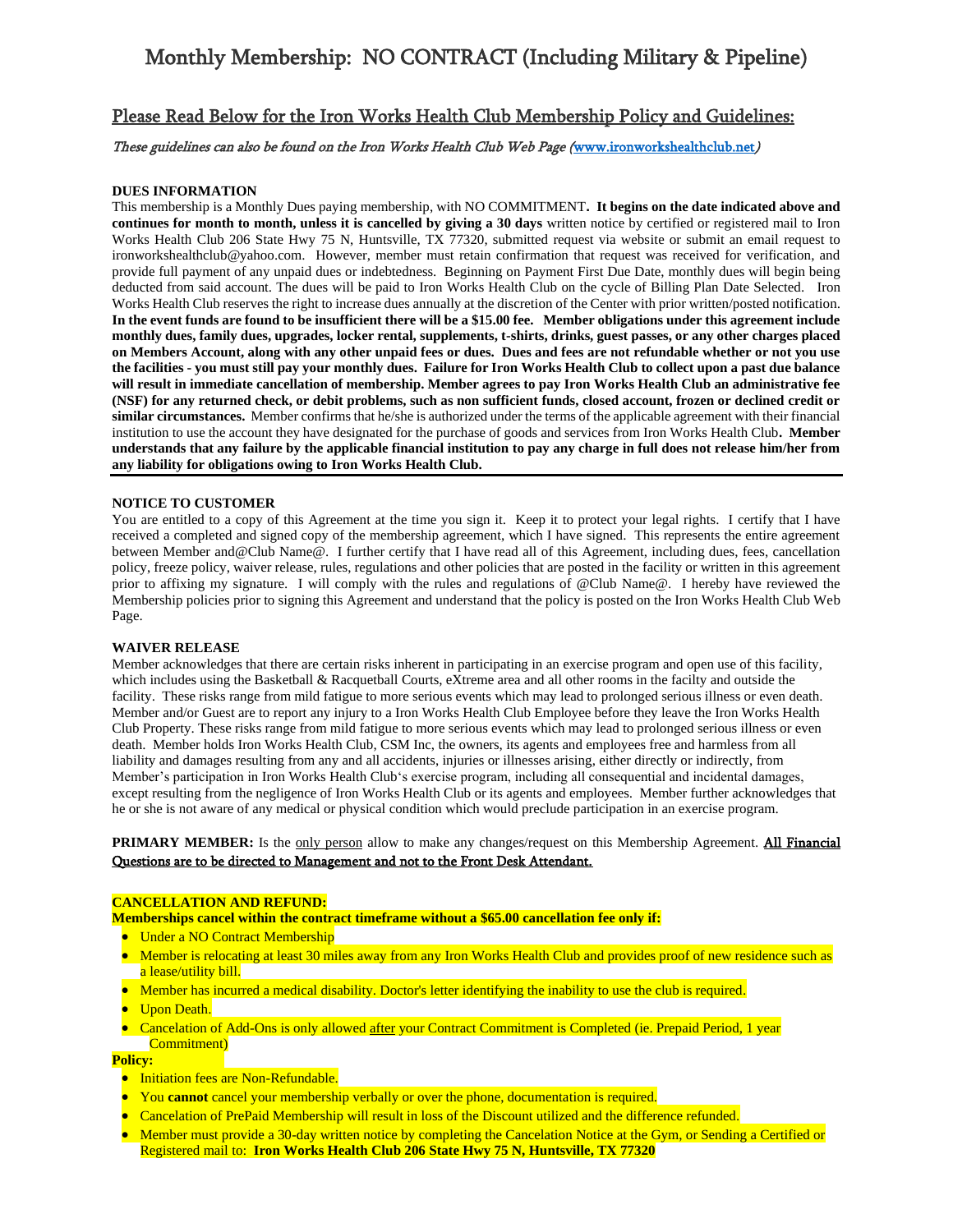# Monthly Membership: NO CONTRACT (Including Military & Pipeline)

## Please Read Below for the Iron Works Health Club Membership Policy and Guidelines:

## These guidelines can also be found on the Iron Works Health Club Web Page ([www.ironworkshealthclub.net](http://www.ironworkshealthclub.net/))

### **DUES INFORMATION**

This membership is a Monthly Dues paying membership, with NO COMMITMENT**. It begins on the date indicated above and continues for month to month, unless it is cancelled by giving a 30 days** written notice by certified or registered mail to Iron Works Health Club 206 State Hwy 75 N, Huntsville, TX 77320, submitted request via website or submit an email request to ironworkshealthclub@yahoo.com. However, member must retain confirmation that request was received for verification, and provide full payment of any unpaid dues or indebtedness. Beginning on Payment First Due Date, monthly dues will begin being deducted from said account. The dues will be paid to Iron Works Health Club on the cycle of Billing Plan Date Selected. Iron Works Health Club reserves the right to increase dues annually at the discretion of the Center with prior written/posted notification. **In the event funds are found to be insufficient there will be a \$15.00 fee. Member obligations under this agreement include monthly dues, family dues, upgrades, locker rental, supplements, t-shirts, drinks, guest passes, or any other charges placed on Members Account, along with any other unpaid fees or dues. Dues and fees are not refundable whether or not you use the facilities - you must still pay your monthly dues. Failure for Iron Works Health Club to collect upon a past due balance will result in immediate cancellation of membership. Member agrees to pay Iron Works Health Club an administrative fee (NSF) for any returned check, or debit problems, such as non sufficient funds, closed account, frozen or declined credit or similar circumstances.** Member confirms that he/she is authorized under the terms of the applicable agreement with their financial institution to use the account they have designated for the purchase of goods and services from Iron Works Health Club**. Member understands that any failure by the applicable financial institution to pay any charge in full does not release him/her from any liability for obligations owing to Iron Works Health Club.** 

#### **NOTICE TO CUSTOMER**

You are entitled to a copy of this Agreement at the time you sign it. Keep it to protect your legal rights. I certify that I have received a completed and signed copy of the membership agreement, which I have signed. This represents the entire agreement between Member and@Club Name@. I further certify that I have read all of this Agreement, including dues, fees, cancellation policy, freeze policy, waiver release, rules, regulations and other policies that are posted in the facility or written in this agreement prior to affixing my signature. I will comply with the rules and regulations of @Club Name@. I hereby have reviewed the Membership policies prior to signing this Agreement and understand that the policy is posted on the Iron Works Health Club Web Page.

#### **WAIVER RELEASE**

Member acknowledges that there are certain risks inherent in participating in an exercise program and open use of this facility, which includes using the Basketball & Racquetball Courts, eXtreme area and all other rooms in the facilty and outside the facility. These risks range from mild fatigue to more serious events which may lead to prolonged serious illness or even death. Member and/or Guest are to report any injury to a Iron Works Health Club Employee before they leave the Iron Works Health Club Property. These risks range from mild fatigue to more serious events which may lead to prolonged serious illness or even death. Member holds Iron Works Health Club, CSM Inc, the owners, its agents and employees free and harmless from all liability and damages resulting from any and all accidents, injuries or illnesses arising, either directly or indirectly, from Member's participation in Iron Works Health Club's exercise program, including all consequential and incidental damages, except resulting from the negligence of Iron Works Health Club or its agents and employees. Member further acknowledges that he or she is not aware of any medical or physical condition which would preclude participation in an exercise program.

### **PRIMARY MEMBER:** Is the only person allow to make any changes/request on this Membership Agreement. All Financial Questions are to be directed to Management and not to the Front Desk Attendant.

#### **CANCELLATION AND REFUND:**

- **Memberships cancel within the contract timeframe without a \$65.00 cancellation fee only if:**
- Under a NO Contract Membership
- Member is relocating at least 30 miles away from any Iron Works Health Club and provides proof of new residence such as a lease/utility bill.
- Member has incurred a medical disability. Doctor's letter identifying the inability to use the club is required.
- **Upon Death.**
- Cancelation of Add-Ons is only allowed after your Contract Commitment is Completed (ie. Prepaid Period, 1 year Commitment)

## **Policy:**

- **•** Initiation fees are Non-Refundable.
- You **cannot** cancel your membership verbally or over the phone, documentation is required.
- Cancelation of PrePaid Membership will result in loss of the Discount utilized and the difference refunded.
- Member must provide a 30-day written notice by completing the Cancelation Notice at the Gym, or Sending a Certified or Registered mail to: **Iron Works Health Club 206 State Hwy 75 N, Huntsville, TX 77320**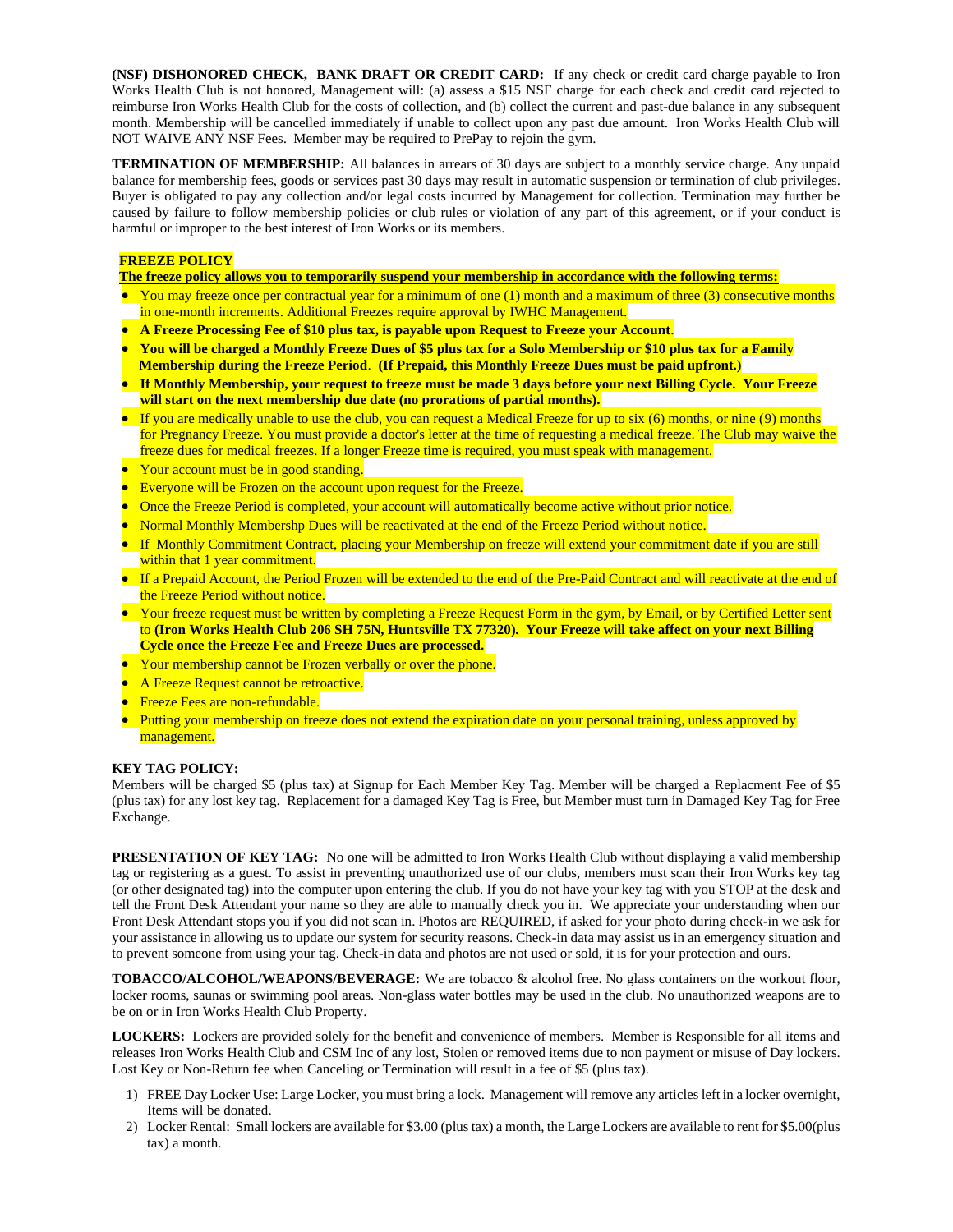**(NSF) DISHONORED CHECK, BANK DRAFT OR CREDIT CARD:** If any check or credit card charge payable to Iron Works Health Club is not honored, Management will: (a) assess a \$15 NSF charge for each check and credit card rejected to reimburse Iron Works Health Club for the costs of collection, and (b) collect the current and past-due balance in any subsequent month. Membership will be cancelled immediately if unable to collect upon any past due amount. Iron Works Health Club will NOT WAIVE ANY NSF Fees. Member may be required to PrePay to rejoin the gym.

**TERMINATION OF MEMBERSHIP:** All balances in arrears of 30 days are subject to a monthly service charge. Any unpaid balance for membership fees, goods or services past 30 days may result in automatic suspension or termination of club privileges. Buyer is obligated to pay any collection and/or legal costs incurred by Management for collection. Termination may further be caused by failure to follow membership policies or club rules or violation of any part of this agreement, or if your conduct is harmful or improper to the best interest of Iron Works or its members.

## **FREEZE POLICY**

**The freeze policy allows you to temporarily suspend your membership in accordance with the following terms:**

- You may freeze once per contractual year for a minimum of one (1) month and a maximum of three (3) consecutive months in one-month increments. Additional Freezes require approval by IWHC Management.
- **A Freeze Processing Fee of \$10 plus tax, is payable upon Request to Freeze your Account**.
- **You will be charged a Monthly Freeze Dues of \$5 plus tax for a Solo Membership or \$10 plus tax for a Family Membership during the Freeze Period**. **(If Prepaid, this Monthly Freeze Dues must be paid upfront.)**
- **If Monthly Membership, your request to freeze must be made 3 days before your next Billing Cycle. Your Freeze will start on the next membership due date (no prorations of partial months).**
- If you are medically unable to use the club, you can request a Medical Freeze for up to six (6) months, or nine (9) months for Pregnancy Freeze. You must provide a doctor's letter at the time of requesting a medical freeze. The Club may waive the freeze dues for medical freezes. If a longer Freeze time is required, you must speak with management.
- Your account must be in good standing.
- Everyone will be Frozen on the account upon request for the Freeze.
- Once the Freeze Period is completed, your account will automatically become active without prior notice.
- Normal Monthly Membershp Dues will be reactivated at the end of the Freeze Period without notice.
- If Monthly Commitment Contract, placing your Membership on freeze will extend your commitment date if you are still within that 1 year commitment.
- If a Prepaid Account, the Period Frozen will be extended to the end of the Pre-Paid Contract and will reactivate at the end of the Freeze Period without notice.
- Your freeze request must be written by completing a Freeze Request Form in the gym, by Email, or by Certified Letter sent to **(Iron Works Health Club 206 SH 75N, Huntsville TX 77320). Your Freeze will take affect on your next Billing Cycle once the Freeze Fee and Freeze Dues are processed.**
- Your membership cannot be Frozen verbally or over the phone.
- A Freeze Request cannot be retroactive.
- Freeze Fees are non-refundable.
- Putting your membership on freeze does not extend the expiration date on your personal training, unless approved by management.

#### **KEY TAG POLICY:**

Members will be charged \$5 (plus tax) at Signup for Each Member Key Tag. Member will be charged a Replacment Fee of \$5 (plus tax) for any lost key tag. Replacement for a damaged Key Tag is Free, but Member must turn in Damaged Key Tag for Free Exchange.

**PRESENTATION OF KEY TAG:** No one will be admitted to Iron Works Health Club without displaying a valid membership tag or registering as a guest. To assist in preventing unauthorized use of our clubs, members must scan their Iron Works key tag (or other designated tag) into the computer upon entering the club. If you do not have your key tag with you STOP at the desk and tell the Front Desk Attendant your name so they are able to manually check you in. We appreciate your understanding when our Front Desk Attendant stops you if you did not scan in. Photos are REQUIRED, if asked for your photo during check-in we ask for your assistance in allowing us to update our system for security reasons. Check-in data may assist us in an emergency situation and to prevent someone from using your tag. Check-in data and photos are not used or sold, it is for your protection and ours.

**TOBACCO/ALCOHOL/WEAPONS/BEVERAGE:** We are tobacco & alcohol free. No glass containers on the workout floor, locker rooms, saunas or swimming pool areas. Non-glass water bottles may be used in the club. No unauthorized weapons are to be on or in Iron Works Health Club Property.

**LOCKERS:** Lockers are provided solely for the benefit and convenience of members. Member is Responsible for all items and releases Iron Works Health Club and CSM Inc of any lost, Stolen or removed items due to non payment or misuse of Day lockers. Lost Key or Non-Return fee when Canceling or Termination will result in a fee of \$5 (plus tax).

- 1) FREE Day Locker Use: Large Locker, you must bring a lock. Management will remove any articles left in a locker overnight, Items will be donated.
- 2) Locker Rental: Small lockers are available for \$3.00 (plus tax) a month, the Large Lockers are available to rent for \$5.00(plus tax) a month.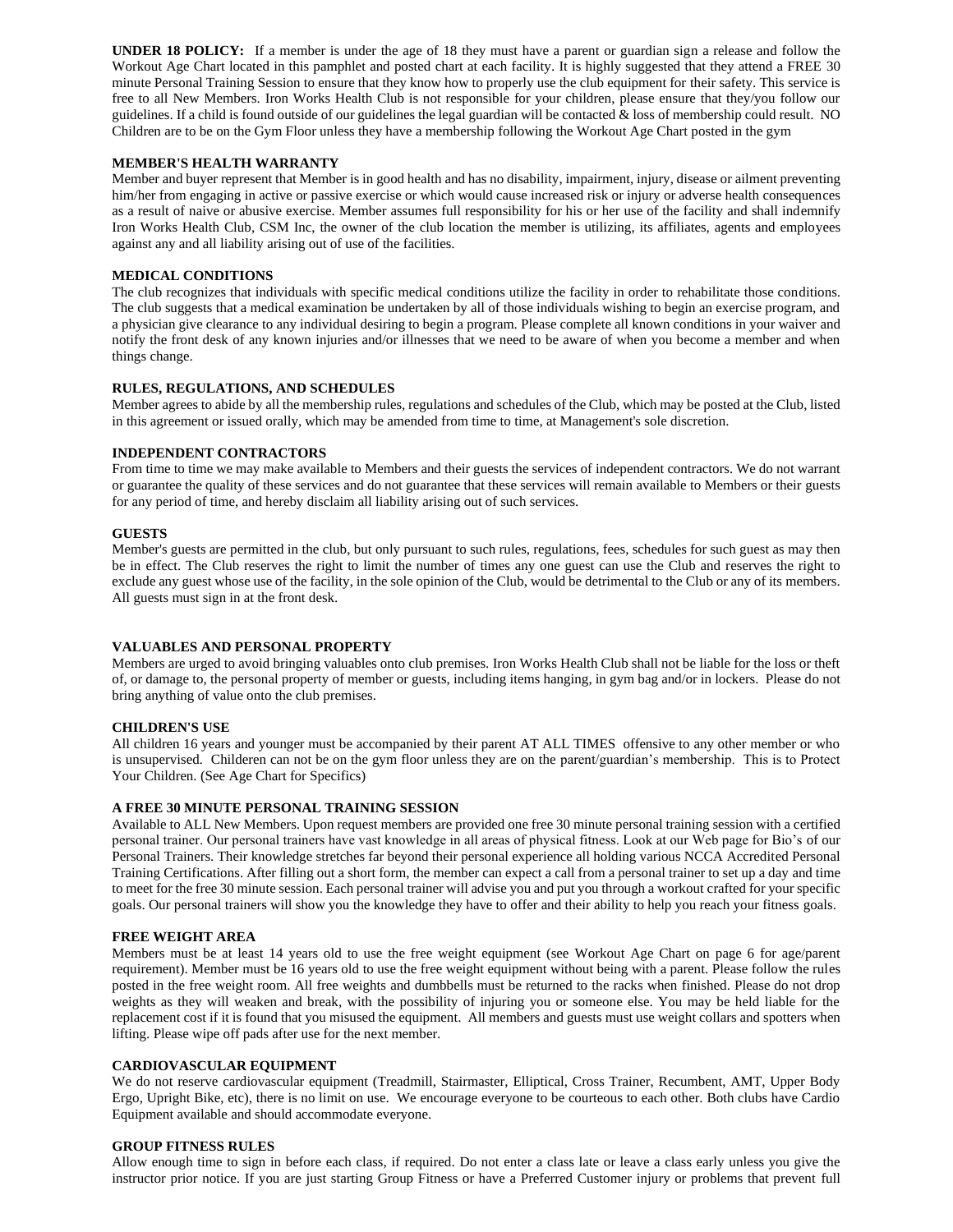**UNDER 18 POLICY:** If a member is under the age of 18 they must have a parent or guardian sign a release and follow the Workout Age Chart located in this pamphlet and posted chart at each facility. It is highly suggested that they attend a FREE 30 minute Personal Training Session to ensure that they know how to properly use the club equipment for their safety. This service is free to all New Members. Iron Works Health Club is not responsible for your children, please ensure that they/you follow our guidelines. If a child is found outside of our guidelines the legal guardian will be contacted & loss of membership could result. NO Children are to be on the Gym Floor unless they have a membership following the Workout Age Chart posted in the gym

#### **MEMBER'S HEALTH WARRANTY**

Member and buyer represent that Member is in good health and has no disability, impairment, injury, disease or ailment preventing him/her from engaging in active or passive exercise or which would cause increased risk or injury or adverse health consequences as a result of naive or abusive exercise. Member assumes full responsibility for his or her use of the facility and shall indemnify Iron Works Health Club, CSM Inc, the owner of the club location the member is utilizing, its affiliates, agents and employees against any and all liability arising out of use of the facilities.

## **MEDICAL CONDITIONS**

The club recognizes that individuals with specific medical conditions utilize the facility in order to rehabilitate those conditions. The club suggests that a medical examination be undertaken by all of those individuals wishing to begin an exercise program, and a physician give clearance to any individual desiring to begin a program. Please complete all known conditions in your waiver and notify the front desk of any known injuries and/or illnesses that we need to be aware of when you become a member and when things change.

### **RULES, REGULATIONS, AND SCHEDULES**

Member agrees to abide by all the membership rules, regulations and schedules of the Club, which may be posted at the Club, listed in this agreement or issued orally, which may be amended from time to time, at Management's sole discretion.

### **INDEPENDENT CONTRACTORS**

From time to time we may make available to Members and their guests the services of independent contractors. We do not warrant or guarantee the quality of these services and do not guarantee that these services will remain available to Members or their guests for any period of time, and hereby disclaim all liability arising out of such services.

### **GUESTS**

Member's guests are permitted in the club, but only pursuant to such rules, regulations, fees, schedules for such guest as may then be in effect. The Club reserves the right to limit the number of times any one guest can use the Club and reserves the right to exclude any guest whose use of the facility, in the sole opinion of the Club, would be detrimental to the Club or any of its members. All guests must sign in at the front desk.

## **VALUABLES AND PERSONAL PROPERTY**

Members are urged to avoid bringing valuables onto club premises. Iron Works Health Club shall not be liable for the loss or theft of, or damage to, the personal property of member or guests, including items hanging, in gym bag and/or in lockers. Please do not bring anything of value onto the club premises.

#### **CHILDREN'S USE**

All children 16 years and younger must be accompanied by their parent AT ALL TIMES offensive to any other member or who is unsupervised. Childeren can not be on the gym floor unless they are on the parent/guardian's membership. This is to Protect Your Children. (See Age Chart for Specifics)

## **A FREE 30 MINUTE PERSONAL TRAINING SESSION**

Available to ALL New Members. Upon request members are provided one free 30 minute personal training session with a certified personal trainer. Our personal trainers have vast knowledge in all areas of physical fitness. Look at our Web page for Bio's of our Personal Trainers. Their knowledge stretches far beyond their personal experience all holding various NCCA Accredited Personal Training Certifications. After filling out a short form, the member can expect a call from a personal trainer to set up a day and time to meet for the free 30 minute session. Each personal trainer will advise you and put you through a workout crafted for your specific goals. Our personal trainers will show you the knowledge they have to offer and their ability to help you reach your fitness goals.

#### **FREE WEIGHT AREA**

Members must be at least 14 years old to use the free weight equipment (see Workout Age Chart on page 6 for age/parent requirement). Member must be 16 years old to use the free weight equipment without being with a parent. Please follow the rules posted in the free weight room. All free weights and dumbbells must be returned to the racks when finished. Please do not drop weights as they will weaken and break, with the possibility of injuring you or someone else. You may be held liable for the replacement cost if it is found that you misused the equipment. All members and guests must use weight collars and spotters when lifting. Please wipe off pads after use for the next member.

#### **CARDIOVASCULAR EQUIPMENT**

We do not reserve cardiovascular equipment (Treadmill, Stairmaster, Elliptical, Cross Trainer, Recumbent, AMT, Upper Body Ergo, Upright Bike, etc), there is no limit on use. We encourage everyone to be courteous to each other. Both clubs have Cardio Equipment available and should accommodate everyone.

#### **GROUP FITNESS RULES**

Allow enough time to sign in before each class, if required. Do not enter a class late or leave a class early unless you give the instructor prior notice. If you are just starting Group Fitness or have a Preferred Customer injury or problems that prevent full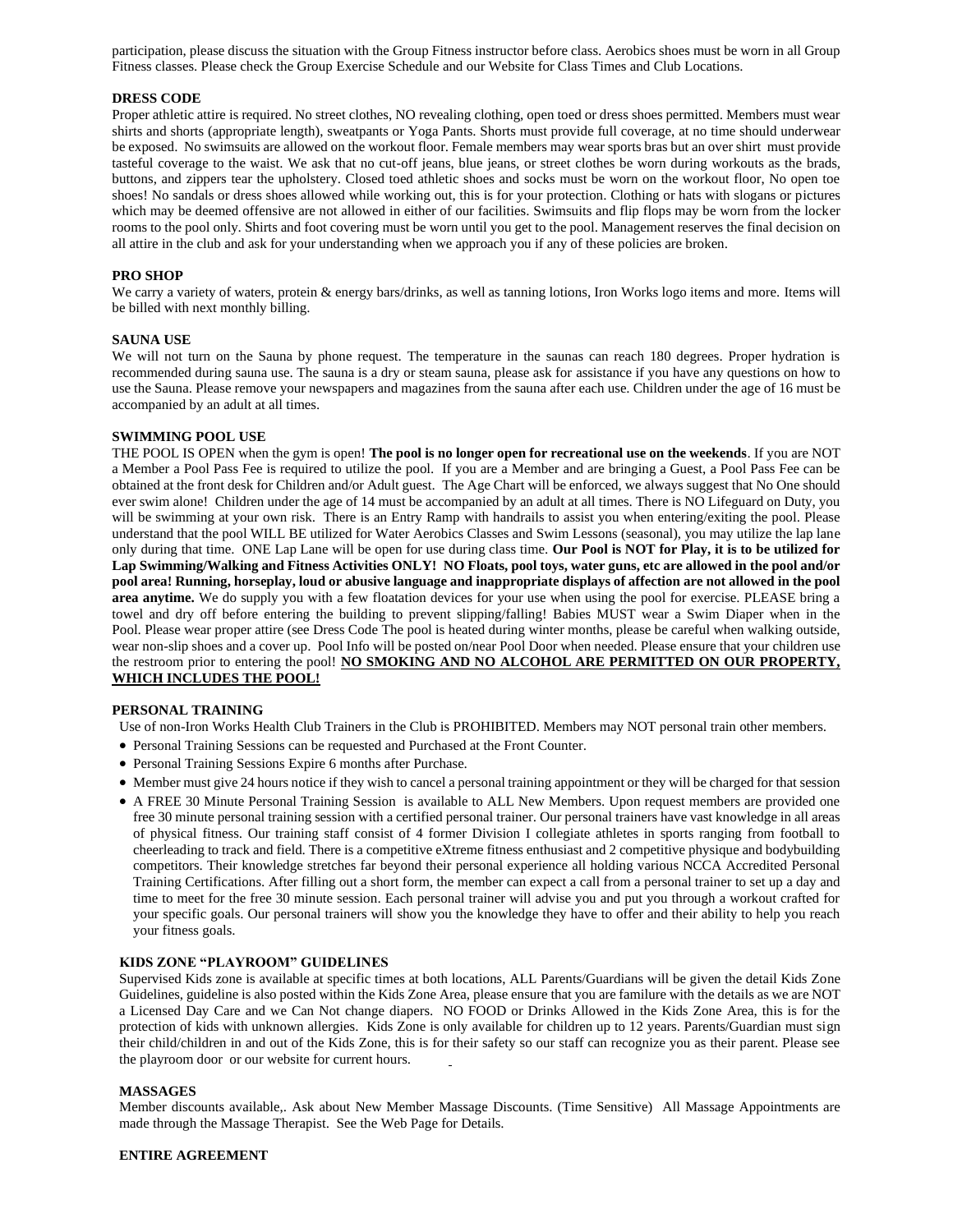participation, please discuss the situation with the Group Fitness instructor before class. Aerobics shoes must be worn in all Group Fitness classes. Please check the Group Exercise Schedule and our Website for Class Times and Club Locations.

#### **DRESS CODE**

Proper athletic attire is required. No street clothes, NO revealing clothing, open toed or dress shoes permitted. Members must wear shirts and shorts (appropriate length), sweatpants or Yoga Pants. Shorts must provide full coverage, at no time should underwear be exposed. No swimsuits are allowed on the workout floor. Female members may wear sports bras but an over shirt must provide tasteful coverage to the waist. We ask that no cut-off jeans, blue jeans, or street clothes be worn during workouts as the brads, buttons, and zippers tear the upholstery. Closed toed athletic shoes and socks must be worn on the workout floor, No open toe shoes! No sandals or dress shoes allowed while working out, this is for your protection. Clothing or hats with slogans or pictures which may be deemed offensive are not allowed in either of our facilities. Swimsuits and flip flops may be worn from the locker rooms to the pool only. Shirts and foot covering must be worn until you get to the pool. Management reserves the final decision on all attire in the club and ask for your understanding when we approach you if any of these policies are broken.

### **PRO SHOP**

We carry a variety of waters, protein & energy bars/drinks, as well as tanning lotions, Iron Works logo items and more. Items will be billed with next monthly billing.

#### **SAUNA USE**

We will not turn on the Sauna by phone request. The temperature in the saunas can reach 180 degrees. Proper hydration is recommended during sauna use. The sauna is a dry or steam sauna, please ask for assistance if you have any questions on how to use the Sauna. Please remove your newspapers and magazines from the sauna after each use. Children under the age of 16 must be accompanied by an adult at all times.

#### **SWIMMING POOL USE**

THE POOL IS OPEN when the gym is open! **The pool is no longer open for recreational use on the weekends**. If you are NOT a Member a Pool Pass Fee is required to utilize the pool. If you are a Member and are bringing a Guest, a Pool Pass Fee can be obtained at the front desk for Children and/or Adult guest. The Age Chart will be enforced, we always suggest that No One should ever swim alone! Children under the age of 14 must be accompanied by an adult at all times. There is NO Lifeguard on Duty, you will be swimming at your own risk. There is an Entry Ramp with handrails to assist you when entering/exiting the pool. Please understand that the pool WILL BE utilized for Water Aerobics Classes and Swim Lessons (seasonal), you may utilize the lap lane only during that time. ONE Lap Lane will be open for use during class time. **Our Pool is NOT for Play, it is to be utilized for Lap Swimming/Walking and Fitness Activities ONLY! NO Floats, pool toys, water guns, etc are allowed in the pool and/or pool area! Running, horseplay, loud or abusive language and inappropriate displays of affection are not allowed in the pool area anytime.** We do supply you with a few floatation devices for your use when using the pool for exercise. PLEASE bring a towel and dry off before entering the building to prevent slipping/falling! Babies MUST wear a Swim Diaper when in the Pool. Please wear proper attire (see Dress Code The pool is heated during winter months, please be careful when walking outside, wear non-slip shoes and a cover up. Pool Info will be posted on/near Pool Door when needed. Please ensure that your children use the restroom prior to entering the pool! **NO SMOKING AND NO ALCOHOL ARE PERMITTED ON OUR PROPERTY, WHICH INCLUDES THE POOL!**

#### **PERSONAL TRAINING**

Use of non-Iron Works Health Club Trainers in the Club is PROHIBITED. Members may NOT personal train other members.

- Personal Training Sessions can be requested and Purchased at the Front Counter.
- Personal Training Sessions Expire 6 months after Purchase.
- Member must give 24 hours notice if they wish to cancel a personal training appointment or they will be charged for that session
- A FREE 30 Minute Personal Training Session is available to ALL New Members. Upon request members are provided one free 30 minute personal training session with a certified personal trainer. Our personal trainers have vast knowledge in all areas of physical fitness. Our training staff consist of 4 former Division I collegiate athletes in sports ranging from football to cheerleading to track and field. There is a competitive eXtreme fitness enthusiast and 2 competitive physique and bodybuilding competitors. Their knowledge stretches far beyond their personal experience all holding various NCCA Accredited Personal Training Certifications. After filling out a short form, the member can expect a call from a personal trainer to set up a day and time to meet for the free 30 minute session. Each personal trainer will advise you and put you through a workout crafted for your specific goals. Our personal trainers will show you the knowledge they have to offer and their ability to help you reach your fitness goals.

#### **KIDS ZONE "PLAYROOM" GUIDELINES**

Supervised Kids zone is available at specific times at both locations, ALL Parents/Guardians will be given the detail Kids Zone Guidelines, guideline is also posted within the Kids Zone Area, please ensure that you are familure with the details as we are NOT a Licensed Day Care and we Can Not change diapers. NO FOOD or Drinks Allowed in the Kids Zone Area, this is for the protection of kids with unknown allergies. Kids Zone is only available for children up to 12 years. Parents/Guardian must sign their child/children in and out of the Kids Zone, this is for their safety so our staff can recognize you as their parent. Please see the playroom door or our website for current hours.

#### **MASSAGES**

Member discounts available,. Ask about New Member Massage Discounts. (Time Sensitive) All Massage Appointments are made through the Massage Therapist. See the Web Page for Details.

#### **ENTIRE AGREEMENT**